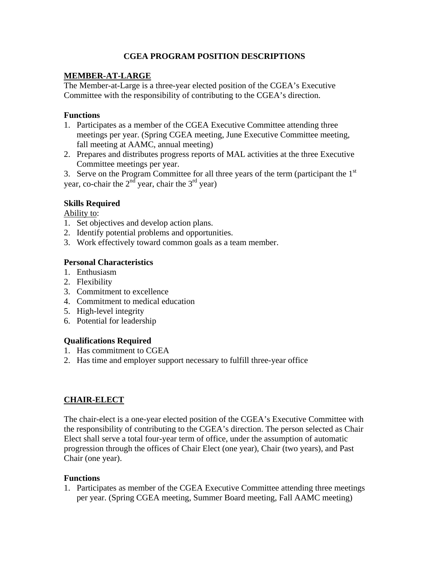## **CGEA PROGRAM POSITION DESCRIPTIONS**

## **MEMBER-AT-LARGE**

The Member-at-Large is a three-year elected position of the CGEA's Executive Committee with the responsibility of contributing to the CGEA's direction.

## **Functions**

- 1. Participates as a member of the CGEA Executive Committee attending three meetings per year. (Spring CGEA meeting, June Executive Committee meeting, fall meeting at AAMC, annual meeting)
- 2. Prepares and distributes progress reports of MAL activities at the three Executive Committee meetings per year.

3. Serve on the Program Committee for all three years of the term (participant the  $1<sup>st</sup>$ year, co-chair the  $2<sup>nd</sup>$  year, chair the  $3<sup>rd</sup>$  year)

# **Skills Required**

Ability to:

- 1. Set objectives and develop action plans.
- 2. Identify potential problems and opportunities.
- 3. Work effectively toward common goals as a team member.

## **Personal Characteristics**

- 1. Enthusiasm
- 2. Flexibility
- 3. Commitment to excellence
- 4. Commitment to medical education
- 5. High-level integrity
- 6. Potential for leadership

## **Qualifications Required**

- 1. Has commitment to CGEA
- 2. Has time and employer support necessary to fulfill three-year office

## **CHAIR-ELECT**

The chair-elect is a one-year elected position of the CGEA's Executive Committee with the responsibility of contributing to the CGEA's direction. The person selected as Chair Elect shall serve a total four-year term of office, under the assumption of automatic progression through the offices of Chair Elect (one year), Chair (two years), and Past Chair (one year).

## **Functions**

1. Participates as member of the CGEA Executive Committee attending three meetings per year. (Spring CGEA meeting, Summer Board meeting, Fall AAMC meeting)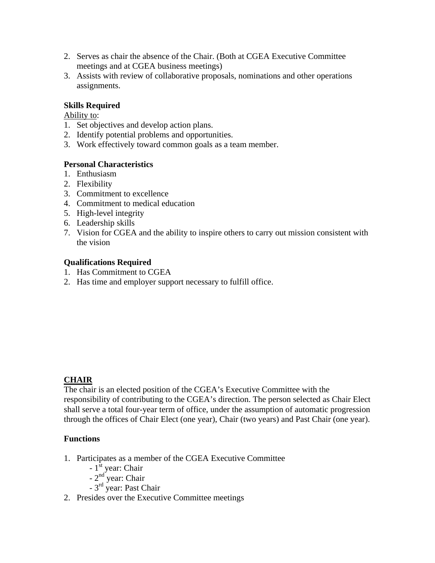- 2. Serves as chair the absence of the Chair. (Both at CGEA Executive Committee meetings and at CGEA business meetings)
- 3. Assists with review of collaborative proposals, nominations and other operations assignments.

### **Skills Required**

Ability to:

- 1. Set objectives and develop action plans.
- 2. Identify potential problems and opportunities.
- 3. Work effectively toward common goals as a team member.

### **Personal Characteristics**

- 1. Enthusiasm
- 2. Flexibility
- 3. Commitment to excellence
- 4. Commitment to medical education
- 5. High-level integrity
- 6. Leadership skills
- 7. Vision for CGEA and the ability to inspire others to carry out mission consistent with the vision

### **Qualifications Required**

- 1. Has Commitment to CGEA
- 2. Has time and employer support necessary to fulfill office.

## **CHAIR**

The chair is an elected position of the CGEA's Executive Committee with the responsibility of contributing to the CGEA's direction. The person selected as Chair Elect shall serve a total four-year term of office, under the assumption of automatic progression through the offices of Chair Elect (one year), Chair (two years) and Past Chair (one year).

### **Functions**

- 1. Participates as a member of the CGEA Executive Committee
- $-1$ <sup>st</sup> year: Chair
- $-2<sup>nd</sup>$  year: Chair
	- 3rd year: Past Chair
- 2. Presides over the Executive Committee meetings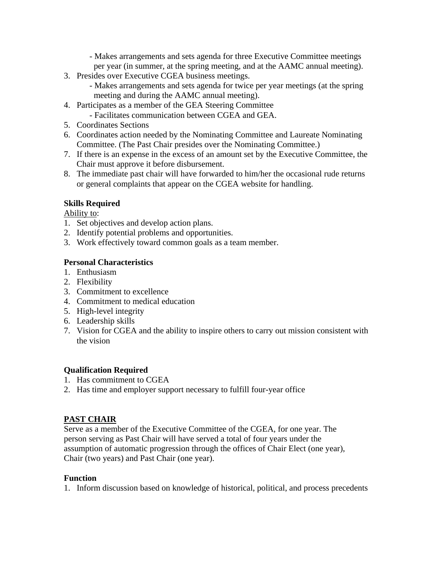- Makes arrangements and sets agenda for three Executive Committee meetings per year (in summer, at the spring meeting, and at the AAMC annual meeting).

- 3. Presides over Executive CGEA business meetings.
	- Makes arrangements and sets agenda for twice per year meetings (at the spring meeting and during the AAMC annual meeting).
- 4. Participates as a member of the GEA Steering Committee
- Facilitates communication between CGEA and GEA.
- 5. Coordinates Sections
- 6. Coordinates action needed by the Nominating Committee and Laureate Nominating Committee. (The Past Chair presides over the Nominating Committee.)
- 7. If there is an expense in the excess of an amount set by the Executive Committee, the Chair must approve it before disbursement.
- 8. The immediate past chair will have forwarded to him/her the occasional rude returns or general complaints that appear on the CGEA website for handling.

### **Skills Required**

Ability to:

- 1. Set objectives and develop action plans.
- 2. Identify potential problems and opportunities.
- 3. Work effectively toward common goals as a team member.

### **Personal Characteristics**

- 1. Enthusiasm
- 2. Flexibility
- 3. Commitment to excellence
- 4. Commitment to medical education
- 5. High-level integrity
- 6. Leadership skills
- 7. Vision for CGEA and the ability to inspire others to carry out mission consistent with the vision

### **Qualification Required**

- 1. Has commitment to CGEA
- 2. Has time and employer support necessary to fulfill four-year office

## **PAST CHAIR**

Serve as a member of the Executive Committee of the CGEA, for one year. The person serving as Past Chair will have served a total of four years under the assumption of automatic progression through the offices of Chair Elect (one year), Chair (two years) and Past Chair (one year).

### **Function**

1. Inform discussion based on knowledge of historical, political, and process precedents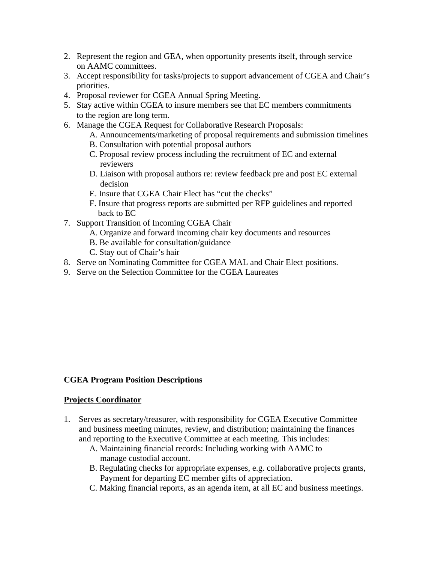- 2. Represent the region and GEA, when opportunity presents itself, through service on AAMC committees.
- 3. Accept responsibility for tasks/projects to support advancement of CGEA and Chair's priorities.
- 4. Proposal reviewer for CGEA Annual Spring Meeting.
- 5. Stay active within CGEA to insure members see that EC members commitments to the region are long term.
- 6. Manage the CGEA Request for Collaborative Research Proposals:
	- A. Announcements/marketing of proposal requirements and submission timelines
	- B. Consultation with potential proposal authors
	- C. Proposal review process including the recruitment of EC and external reviewers
	- D. Liaison with proposal authors re: review feedback pre and post EC external decision
	- E. Insure that CGEA Chair Elect has "cut the checks"
	- F. Insure that progress reports are submitted per RFP guidelines and reported back to EC
- 7. Support Transition of Incoming CGEA Chair
	- A. Organize and forward incoming chair key documents and resources
	- B. Be available for consultation/guidance
	- C. Stay out of Chair's hair
- 8. Serve on Nominating Committee for CGEA MAL and Chair Elect positions.
- 9. Serve on the Selection Committee for the CGEA Laureates

### **CGEA Program Position Descriptions**

#### **Projects Coordinator**

- 1. Serves as secretary/treasurer, with responsibility for CGEA Executive Committee and business meeting minutes, review, and distribution; maintaining the finances and reporting to the Executive Committee at each meeting. This includes:
	- A. Maintaining financial records: Including working with AAMC to manage custodial account.
	- B. Regulating checks for appropriate expenses, e.g. collaborative projects grants, Payment for departing EC member gifts of appreciation.
	- C. Making financial reports, as an agenda item, at all EC and business meetings.